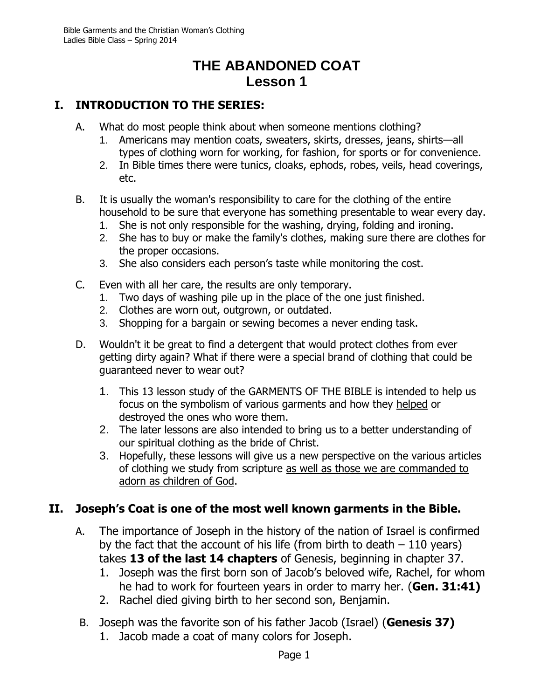## **THE ABANDONED COAT Lesson 1**

## **I. INTRODUCTION TO THE SERIES:**

- A. What do most people think about when someone mentions clothing?
	- 1. Americans may mention coats, sweaters, skirts, dresses, jeans, shirts—all types of clothing worn for working, for fashion, for sports or for convenience.
	- 2. In Bible times there were tunics, cloaks, ephods, robes, veils, head coverings, etc.
- B. It is usually the woman's responsibility to care for the clothing of the entire household to be sure that everyone has something presentable to wear every day.
	- 1. She is not only responsible for the washing, drying, folding and ironing.
	- 2. She has to buy or make the family's clothes, making sure there are clothes for the proper occasions.
	- 3. She also considers each person's taste while monitoring the cost.
- C. Even with all her care, the results are only temporary.
	- 1. Two days of washing pile up in the place of the one just finished.
	- 2. Clothes are worn out, outgrown, or outdated.
	- 3. Shopping for a bargain or sewing becomes a never ending task.
- D. Wouldn't it be great to find a detergent that would protect clothes from ever getting dirty again? What if there were a special brand of clothing that could be guaranteed never to wear out?
	- 1. This 13 lesson study of the GARMENTS OF THE BIBLE is intended to help us focus on the symbolism of various garments and how they helped or destroyed the ones who wore them.
	- 2. The later lessons are also intended to bring us to a better understanding of our spiritual clothing as the bride of Christ.
	- 3. Hopefully, these lessons will give us a new perspective on the various articles of clothing we study from scripture as well as those we are commanded to adorn as children of God.

## **II. Joseph's Coat is one of the most well known garments in the Bible.**

- A. The importance of Joseph in the history of the nation of Israel is confirmed by the fact that the account of his life (from birth to death  $-110$  years) takes **13 of the last 14 chapters** of Genesis, beginning in chapter 37.
	- 1. Joseph was the first born son of Jacob's beloved wife, Rachel, for whom he had to work for fourteen years in order to marry her. (**Gen. 31:41)**
	- 2. Rachel died giving birth to her second son, Benjamin.
- B. Joseph was the favorite son of his father Jacob (Israel) (**Genesis 37)**
	- 1. Jacob made a coat of many colors for Joseph.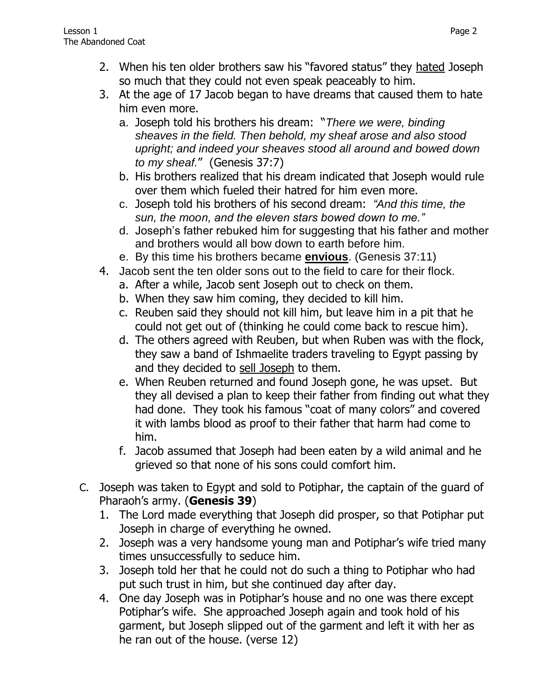- 2. When his ten older brothers saw his "favored status" they hated Joseph so much that they could not even speak peaceably to him.
- 3. At the age of 17 Jacob began to have dreams that caused them to hate him even more.
	- a. Joseph told his brothers his dream: "*There we were, binding sheaves in the field. Then behold, my sheaf arose and also stood upright; and indeed your sheaves stood all around and bowed down to my sheaf.*" (Genesis 37:7)
	- b. His brothers realized that his dream indicated that Joseph would rule over them which fueled their hatred for him even more.
	- c. Joseph told his brothers of his second dream: *"And this time, the sun, the moon, and the eleven stars bowed down to me."*
	- d. Joseph's father rebuked him for suggesting that his father and mother and brothers would all bow down to earth before him.
	- e. By this time his brothers became **envious**. (Genesis 37:11)
- 4. Jacob sent the ten older sons out to the field to care for their flock.
	- a. After a while, Jacob sent Joseph out to check on them.
	- b. When they saw him coming, they decided to kill him.
	- c. Reuben said they should not kill him, but leave him in a pit that he could not get out of (thinking he could come back to rescue him).
	- d. The others agreed with Reuben, but when Ruben was with the flock, they saw a band of Ishmaelite traders traveling to Egypt passing by and they decided to sell Joseph to them.
	- e. When Reuben returned and found Joseph gone, he was upset. But they all devised a plan to keep their father from finding out what they had done. They took his famous "coat of many colors" and covered it with lambs blood as proof to their father that harm had come to him.
	- f. Jacob assumed that Joseph had been eaten by a wild animal and he grieved so that none of his sons could comfort him.
- C. Joseph was taken to Egypt and sold to Potiphar, the captain of the guard of Pharaoh's army. (**Genesis 39**)
	- 1. The Lord made everything that Joseph did prosper, so that Potiphar put Joseph in charge of everything he owned.
	- 2. Joseph was a very handsome young man and Potiphar's wife tried many times unsuccessfully to seduce him.
	- 3. Joseph told her that he could not do such a thing to Potiphar who had put such trust in him, but she continued day after day.
	- 4. One day Joseph was in Potiphar's house and no one was there except Potiphar's wife. She approached Joseph again and took hold of his garment, but Joseph slipped out of the garment and left it with her as he ran out of the house. (verse 12)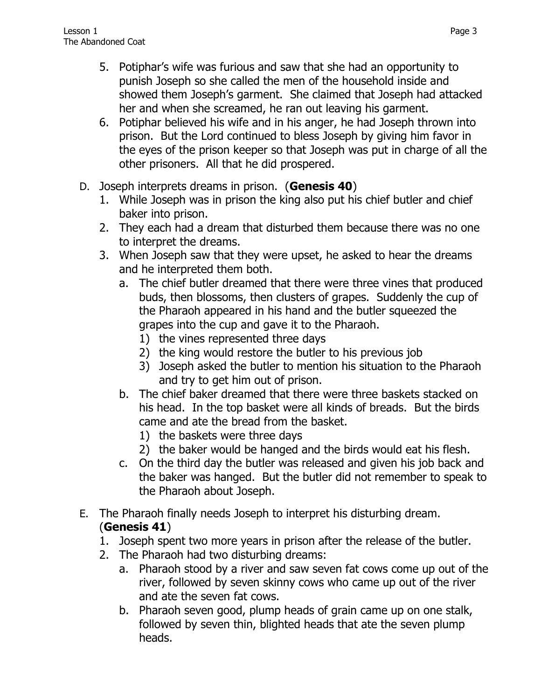- 5. Potiphar's wife was furious and saw that she had an opportunity to punish Joseph so she called the men of the household inside and showed them Joseph's garment. She claimed that Joseph had attacked her and when she screamed, he ran out leaving his garment.
- 6. Potiphar believed his wife and in his anger, he had Joseph thrown into prison. But the Lord continued to bless Joseph by giving him favor in the eyes of the prison keeper so that Joseph was put in charge of all the other prisoners. All that he did prospered.
- D. Joseph interprets dreams in prison. (**Genesis 40**)
	- 1. While Joseph was in prison the king also put his chief butler and chief baker into prison.
	- 2. They each had a dream that disturbed them because there was no one to interpret the dreams.
	- 3. When Joseph saw that they were upset, he asked to hear the dreams and he interpreted them both.
		- a. The chief butler dreamed that there were three vines that produced buds, then blossoms, then clusters of grapes. Suddenly the cup of the Pharaoh appeared in his hand and the butler squeezed the grapes into the cup and gave it to the Pharaoh.
			- 1) the vines represented three days
			- 2) the king would restore the butler to his previous job
			- 3) Joseph asked the butler to mention his situation to the Pharaoh and try to get him out of prison.
		- b. The chief baker dreamed that there were three baskets stacked on his head. In the top basket were all kinds of breads. But the birds came and ate the bread from the basket.
			- 1) the baskets were three days
			- 2) the baker would be hanged and the birds would eat his flesh.
		- c. On the third day the butler was released and given his job back and the baker was hanged. But the butler did not remember to speak to the Pharaoh about Joseph.
- E. The Pharaoh finally needs Joseph to interpret his disturbing dream. (**Genesis 41**)
	- 1. Joseph spent two more years in prison after the release of the butler.
	- 2. The Pharaoh had two disturbing dreams:
		- a. Pharaoh stood by a river and saw seven fat cows come up out of the river, followed by seven skinny cows who came up out of the river and ate the seven fat cows.
		- b. Pharaoh seven good, plump heads of grain came up on one stalk, followed by seven thin, blighted heads that ate the seven plump heads.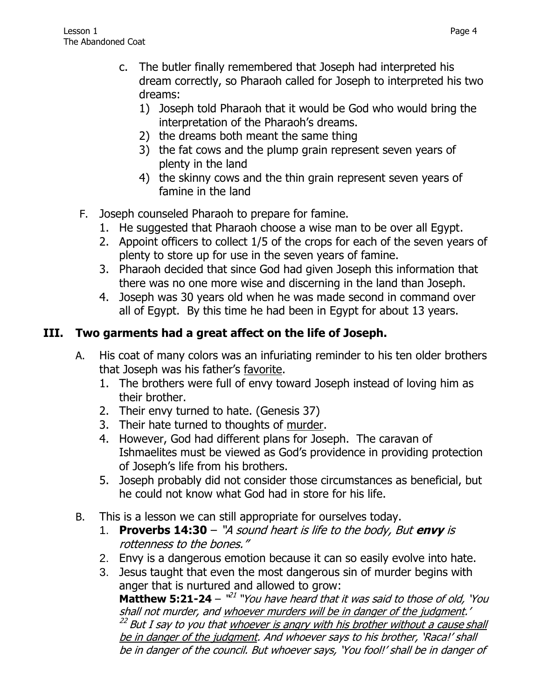- c. The butler finally remembered that Joseph had interpreted his dream correctly, so Pharaoh called for Joseph to interpreted his two dreams:
	- 1) Joseph told Pharaoh that it would be God who would bring the interpretation of the Pharaoh's dreams.
	- 2) the dreams both meant the same thing
	- 3) the fat cows and the plump grain represent seven years of plenty in the land
	- 4) the skinny cows and the thin grain represent seven years of famine in the land
- F. Joseph counseled Pharaoh to prepare for famine.
	- 1. He suggested that Pharaoh choose a wise man to be over all Egypt.
	- 2. Appoint officers to collect 1/5 of the crops for each of the seven years of plenty to store up for use in the seven years of famine.
	- 3. Pharaoh decided that since God had given Joseph this information that there was no one more wise and discerning in the land than Joseph.
	- 4. Joseph was 30 years old when he was made second in command over all of Egypt. By this time he had been in Egypt for about 13 years.

## **III. Two garments had a great affect on the life of Joseph.**

- A. His coat of many colors was an infuriating reminder to his ten older brothers that Joseph was his father's favorite.
	- 1. The brothers were full of envy toward Joseph instead of loving him as their brother.
	- 2. Their envy turned to hate. (Genesis 37)
	- 3. Their hate turned to thoughts of murder.
	- 4. However, God had different plans for Joseph. The caravan of Ishmaelites must be viewed as God's providence in providing protection of Joseph's life from his brothers.
	- 5. Joseph probably did not consider those circumstances as beneficial, but he could not know what God had in store for his life.
- B. This is a lesson we can still appropriate for ourselves today.
	- 1. **[Proverbs 14:30](http://www.biblegateway.com/passage/?search=Proverbs+14:30&version=NKJV)** "A sound heart is life to the body, But **envy** is rottenness to the bones."
	- 2. Envy is a dangerous emotion because it can so easily evolve into hate.
	- 3. Jesus taught that even the most dangerous sin of murder begins with anger that is nurtured and allowed to grow: **Matthew 5:21-24** –  $x^{21}$  "You have heard that it was said to those of old, 'You shall not murder, and whoever murders will be in danger of the judgment.' <sup>22</sup> But I say to you that <u>whoever is angry with his brother without a cause shall</u> be in danger of the judgment. And whoever says to his brother, 'Raca!' shall be in danger of the council. But whoever says, 'You fool!' shall be in danger of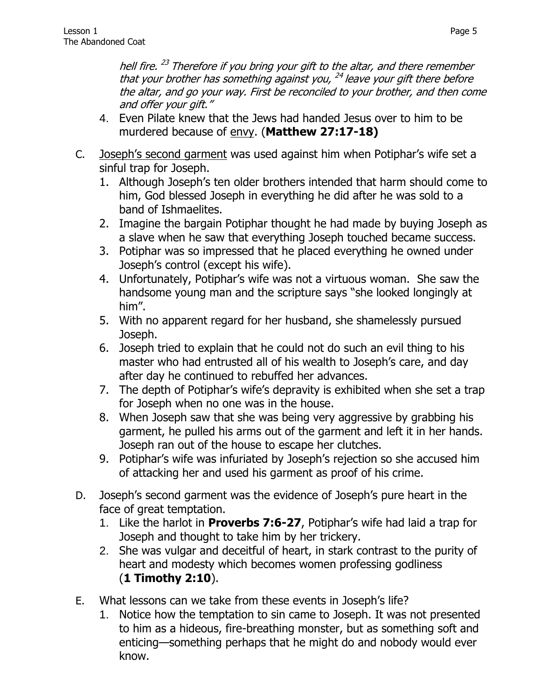hell fire. <sup>23</sup> Therefore if you bring your gift to the altar, and there remember that your brother has something against you, <sup>24</sup> leave your gift there before the altar, and go your way. First be reconciled to your brother, and then come and offer your gift."

- 4. Even Pilate knew that the Jews had handed Jesus over to him to be murdered because of envy. (**Matthew 27:17-18)**
- C. Joseph's second garment was used against him when Potiphar's wife set a sinful trap for Joseph.
	- 1. Although Joseph's ten older brothers intended that harm should come to him, God blessed Joseph in everything he did after he was sold to a band of Ishmaelites.
	- 2. Imagine the bargain Potiphar thought he had made by buying Joseph as a slave when he saw that everything Joseph touched became success.
	- 3. Potiphar was so impressed that he placed everything he owned under Joseph's control (except his wife).
	- 4. Unfortunately, Potiphar's wife was not a virtuous woman. She saw the handsome young man and the scripture says "she looked longingly at him".
	- 5. With no apparent regard for her husband, she shamelessly pursued Joseph.
	- 6. Joseph tried to explain that he could not do such an evil thing to his master who had entrusted all of his wealth to Joseph's care, and day after day he continued to rebuffed her advances.
	- 7. The depth of Potiphar's wife's depravity is exhibited when she set a trap for Joseph when no one was in the house.
	- 8. When Joseph saw that she was being very aggressive by grabbing his garment, he pulled his arms out of the garment and left it in her hands. Joseph ran out of the house to escape her clutches.
	- 9. Potiphar's wife was infuriated by Joseph's rejection so she accused him of attacking her and used his garment as proof of his crime.
- D. Joseph's second garment was the evidence of Joseph's pure heart in the face of great temptation.
	- 1. Like the harlot in **Proverbs 7:6-27**, Potiphar's wife had laid a trap for Joseph and thought to take him by her trickery.
	- 2. She was vulgar and deceitful of heart, in stark contrast to the purity of heart and modesty which becomes women professing godliness (**1 Timothy 2:10**).
- E. What lessons can we take from these events in Joseph's life?
	- 1. Notice how the temptation to sin came to Joseph. It was not presented to him as a hideous, fire-breathing monster, but as something soft and enticing—something perhaps that he might do and nobody would ever know.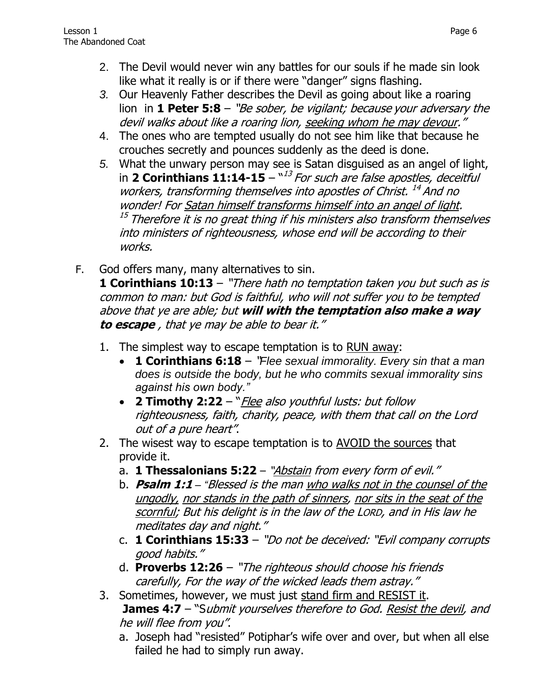- *3.* Our Heavenly Father describes the Devil as going about like a roaring lion in **1 Peter 5:8** – "Be sober, be vigilant; because your adversary the devil walks about like a roaring lion, seeking whom he may devour."
- 4. The ones who are tempted usually do not see him like that because he crouches secretly and pounces suddenly as the deed is done.
- *5.* What the unwary person may see is Satan disguised as an angel of light, in **2 Corinthians 11:14-15** – " 13 For such are false apostles, deceitful workers, transforming themselves into apostles of Christ.<sup>14</sup> And no wonder! For Satan himself transforms himself into an angel of light.  $^\mathrm{15}$  Therefore it is no great thing if his ministers also transform themselves  $^\mathrm{15}$ into ministers of righteousness, whose end will be according to their works.
- F. God offers many, many alternatives to sin. **1 Corinthians 10:13** – "There hath no temptation taken you but such as is common to man: but God is faithful, who will not suffer you to be tempted above that ye are able; but **will with the temptation also make a way to escape** , that ye may be able to bear it."
	- 1. The simplest way to escape temptation is to RUN away:
		- **1 Corinthians 6:18** "*Flee sexual immorality. Every sin that a man does is outside the body, but he who commits sexual immorality sins against his own body."*
		- **2 Timothy 2:22** "Flee also youthful lusts: but follow righteousness, faith, charity, peace, with them that call on the Lord out of a pure heart".
	- 2. The wisest way to escape temptation is to AVOID the sources that provide it.
		- a. **[1 Thessalonians 5:22](http://www.biblegateway.com/passage/?search=1%20Thessalonians+5:22&version=NKJV)** "Abstain from every form of evil."
		- b. **Psalm 1:1** *– "*Blessed is the man who walks not in the counsel of the ungodly, nor stands in the path of sinners, nor sits in the seat of the scornful; But his delight is in the law of the LORD, and in His law he meditates day and night."
		- c. **[1 Corinthians 15:33](http://www.biblegateway.com/passage/?search=1%20Corinthians+15:33&version=NKJV)** "Do not be deceived: "Evil company corrupts good habits."
		- d. **[Proverbs 12:26](http://www.biblegateway.com/passage/?search=Proverbs+12:26&version=NKJV)** "The righteous should choose his friends carefully, For the way of the wicked leads them astray."
	- 3. Sometimes, however, we must just stand firm and RESIST it. **James 4:7** – "Submit yourselves therefore to God. Resist the devil, and he will flee from you".
		- a. Joseph had "resisted" Potiphar's wife over and over, but when all else failed he had to simply run away.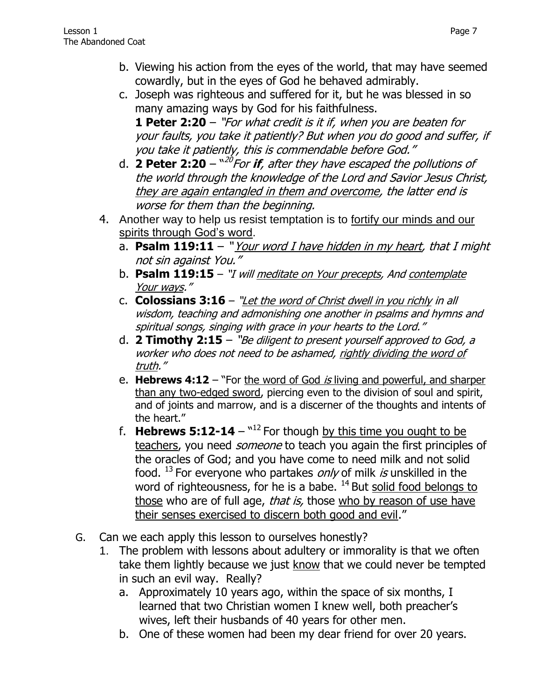- b. Viewing his action from the eyes of the world, that may have seemed cowardly, but in the eyes of God he behaved admirably.
- c. Joseph was righteous and suffered for it, but he was blessed in so many amazing ways by God for his faithfulness.

**1 Peter 2:20** – "For what credit is it if, when you are beaten for your faults, you take it patiently? But when you do good and suffer, if you take it patiently, this is commendable before God."

- d. 2 **Peter 2:20** "<sup>20</sup>For **if**, after they have escaped the pollutions of the world through the knowledge of the Lord and Savior Jesus Christ, they are again entangled in them and overcome, the latter end is worse for them than the beginning.
- 4. Another way to help us resist temptation is to fortify our minds and our spirits through God's word.
	- a. **Psalm 119:11** " Your word I have hidden in my heart, that I might not sin against You."
	- b. **[Psalm 119:15](http://www.biblegateway.com/passage/?search=Psalm+119:15&version=NKJV)** "I will meditate on Your precepts, And contemplate Your ways."
	- c. **[Colossians 3:16](http://www.biblegateway.com/passage/?search=Colossians+3:16&version=NKJV)** "Let the word of Christ dwell in you richly in all wisdom, teaching and admonishing one another in psalms and hymns and spiritual songs, singing with grace in your hearts to the Lord."
	- d. **[2 Timothy 2:15](http://www.biblegateway.com/passage/?search=2%20Timothy+2:15&version=NKJV)** "Be diligent to present yourself approved to God, a worker who does not need to be ashamed, rightly dividing the word of truth."
	- e. **[Hebrews 4:12](http://www.biblegateway.com/passage/?search=Hebrews+4:12&version=NKJV)** "For the word of God *is* living and powerful, and sharper than any two-edged sword, piercing even to the division of soul and spirit, and of joints and marrow, and is a discerner of the thoughts and intents of the heart."
	- f. **Hebrews 5:12-14**  $^{\text{N12}}$  For though by this time you ought to be teachers, you need *someone* to teach you again the first principles of the oracles of God; and you have come to need milk and not solid food.  $^{13}$  For everyone who partakes *only* of milk *is* unskilled in the word of righteousness, for he is a babe.  $^{14}$  But solid food belongs to those who are of full age, *that is*, those who by reason of use have their senses exercised to discern both good and evil."
- G. Can we each apply this lesson to ourselves honestly?
	- 1. The problem with lessons about adultery or immorality is that we often take them lightly because we just know that we could never be tempted in such an evil way. Really?
		- a. Approximately 10 years ago, within the space of six months, I learned that two Christian women I knew well, both preacher's wives, left their husbands of 40 years for other men.
		- b. One of these women had been my dear friend for over 20 years.